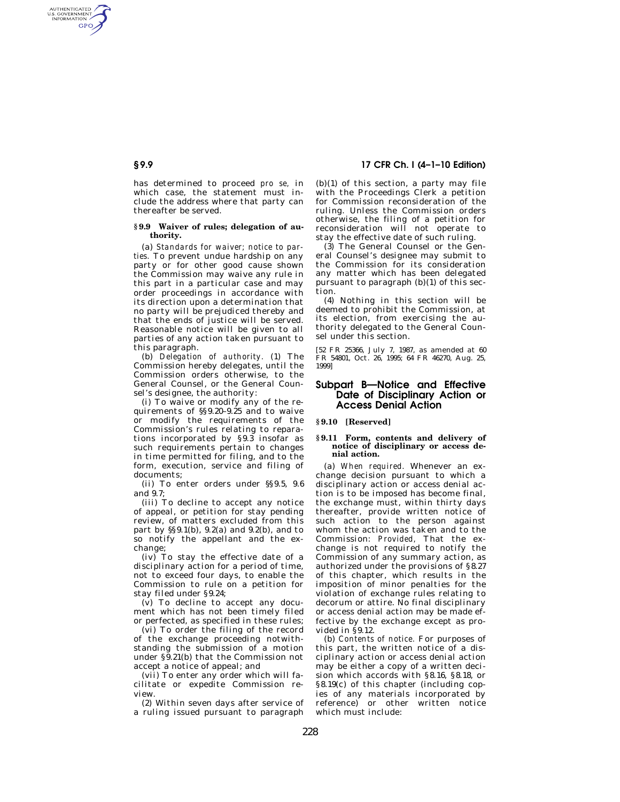# **§ 9.9 17 CFR Ch. I (4–1–10 Edition)**

has determined to proceed *pro se,* in which case, the statement must include the address where that party can thereafter be served.

AUTHENTICATED<br>U.S. GOVERNMENT<br>INFORMATION **GPO** 

### **§ 9.9 Waiver of rules; delegation of authority.**

(a) *Standards for waiver; notice to parties.* To prevent undue hardship on any party or for other good cause shown the Commission may waive any rule in this part in a particular case and may order proceedings in accordance with its direction upon a determination that no party will be prejudiced thereby and that the ends of justice will be served. Reasonable notice will be given to all parties of any action taken pursuant to this paragraph.

(b) *Delegation of authority.* (1) The Commission hereby delegates, until the Commission orders otherwise, to the General Counsel, or the General Counsel's designee, the authority:

(i) To waive or modify any of the requirements of §§9.20–9.25 and to waive or modify the requirements of the Commission's rules relating to reparations incorporated by §9.3 insofar as such requirements pertain to changes in time permitted for filing, and to the form, execution, service and filing of documents;

(ii) To enter orders under §§9.5, 9.6 and  $9.7$ 

(iii) To decline to accept any notice of appeal, or petition for stay pending review, of matters excluded from this part by §§9.1(b), 9.2(a) and 9.2(b), and to so notify the appellant and the exchange;

(iv) To stay the effective date of a disciplinary action for a period of time, not to exceed four days, to enable the Commission to rule on a petition for stay filed under §9.24;

(v) To decline to accept any document which has not been timely filed or perfected, as specified in these rules;

(vi) To order the filing of the record of the exchange proceeding notwithstanding the submission of a motion under §9.21(b) that the Commission not accept a notice of appeal; and

(vii) To enter any order which will facilitate or expedite Commission review.

(2) Within seven days after service of a ruling issued pursuant to paragraph

(b)(1) of this section, a party may file with the Proceedings Clerk a petition for Commission reconsideration of the ruling. Unless the Commission orders otherwise, the filing of a petition for reconsideration will not operate to stay the effective date of such ruling.

 $(3)$  The General Counsel or the General Counsel's designee may submit to the Commission for its consideration any matter which has been delegated pursuant to paragraph (b)(1) of this section.

(4) Nothing in this section will be deemed to prohibit the Commission, at its election, from exercising the authority delegated to the General Counsel under this section.

[52 FR 25366, July 7, 1987, as amended at 60 FR 54801, Oct. 26, 1995; 64 FR 46270, Aug. 25, 1999]

## **Subpart B—Notice and Effective Date of Disciplinary Action or Access Denial Action**

**§ 9.10 [Reserved]** 

#### **§ 9.11 Form, contents and delivery of notice of disciplinary or access denial action.**

(a) *When required.* Whenever an exchange decision pursuant to which a disciplinary action or access denial action is to be imposed has become final, the exchange must, within thirty days thereafter, provide written notice of such action to the person against whom the action was taken and to the Commission: *Provided,* That the exchange is not required to notify the Commission of any summary action, as authorized under the provisions of §8.27 of this chapter, which results in the imposition of minor penalties for the violation of exchange rules relating to decorum or attire. No final disciplinary or access denial action may be made effective by the exchange except as provided in §9.12.

(b) *Contents of notice.* For purposes of this part, the written notice of a disciplinary action or access denial action may be either a copy of a written decision which accords with §8.16, §8.18, or §8.19(c) of this chapter (including copies of any materials incorporated by reference) or other written notice which must include: